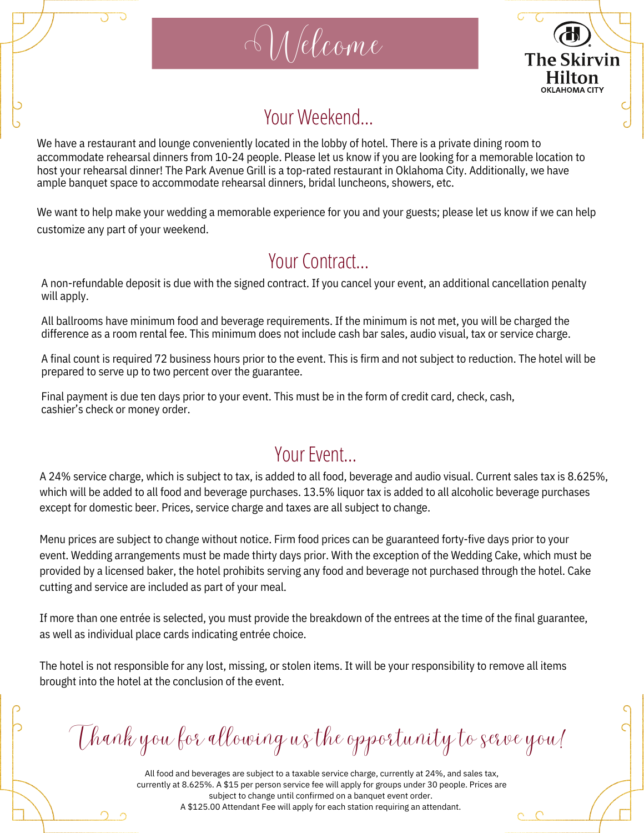



## Your Weekend…

Welcome

We have a restaurant and lounge conveniently located in the lobby of hotel. There is a private dining room to accommodate rehearsal dinners from 10-24 people. Please let us know if you are looking for a memorable location to host your rehearsal dinner! The Park Avenue Grill is a top-rated restaurant in Oklahoma City. Additionally, we have ample banquet space to accommodate rehearsal dinners, bridal luncheons, showers, etc.

We want to help make your wedding a memorable experience for you and your guests; please let us know if we can help customize any part of your weekend.

## Your Contract…

A non-refundable deposit is due with the signed contract. If you cancel your event, an additional cancellation penalty will apply.

All ballrooms have minimum food and beverage requirements. If the minimum is not met, you will be charged the difference as a room rental fee. This minimum does not include cash bar sales, audio visual, tax or service charge.

A final count is required 72 business hours prior to the event. This is firm and not subject to reduction. The hotel will be prepared to serve up to two percent over the guarantee.

Final payment is due ten days prior to your event. This must be in the form of credit card, check, cash, cashier's check or money order.

## Your Event

A 24% service charge, which is subject to tax, is added to all food, beverage and audio visual. Current sales tax is 8.625%, which will be added to all food and beverage purchases. 13.5% liquor tax is added to all alcoholic beverage purchases except for domestic beer. Prices, service charge and taxes are all subject to change.

Menu prices are subject to change without notice. Firm food prices can be guaranteed forty-five days prior to your event. Wedding arrangements must be made thirty days prior. With the exception of the Wedding Cake, which must be provided by a licensed baker, the hotel prohibits serving any food and beverage not purchased through the hotel. Cake cutting and service are included as part of your meal.

If more than one entrée is selected, you must provide the breakdown of the entrees at the time of the final guarantee, as well as individual place cards indicating entrée choice.

The hotel is not responsible for any lost, missing, or stolen items. It will be your responsibility to remove all items brought into the hotel at the conclusion of the event.

Thank you for allowing us the opportunity to serve you!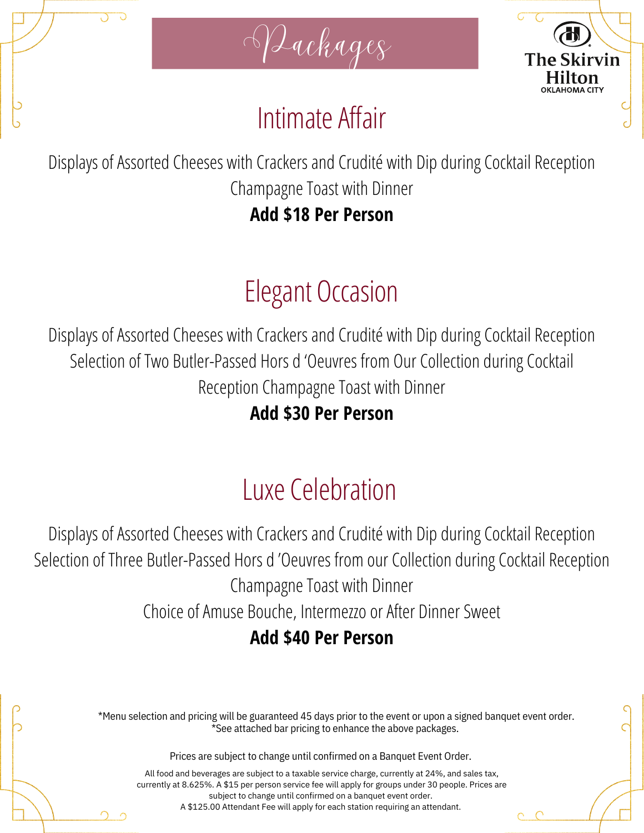





# IntimateAffair

Displays of Assorted Cheeses with Crackers and Crudité with Dip during Cocktail Reception Champagne Toast with Dinner

**Add \$18 Per Person**

# Elegant Occasion

Displays of Assorted Cheeses with Crackers and Crudité with Dip during Cocktail Reception Selection of Two Butler-Passed Hors d 'Oeuvres from Our Collection during Cocktail Reception Champagne Toast with Dinner

**Add \$30 Per Person**

# Luxe Celebration

Displays of Assorted Cheeses with Crackers and Crudité with Dip during Cocktail Reception Selection of Three Butler-Passed Hors d 'Oeuvres from our Collection during Cocktail Reception Champagne Toast with Dinner Choice of Amuse Bouche, Intermezzo or After Dinner Sweet **Add \$40 Per Person**

> \*Menu selection and pricing will be guaranteed 45 days prior to the event or upon a signed banquet event order.  $\check{\text{c}}$ See attached bar pricing to enhance the above packages.

> > Prices are subject to change until confirmed on a Banquet Event Order.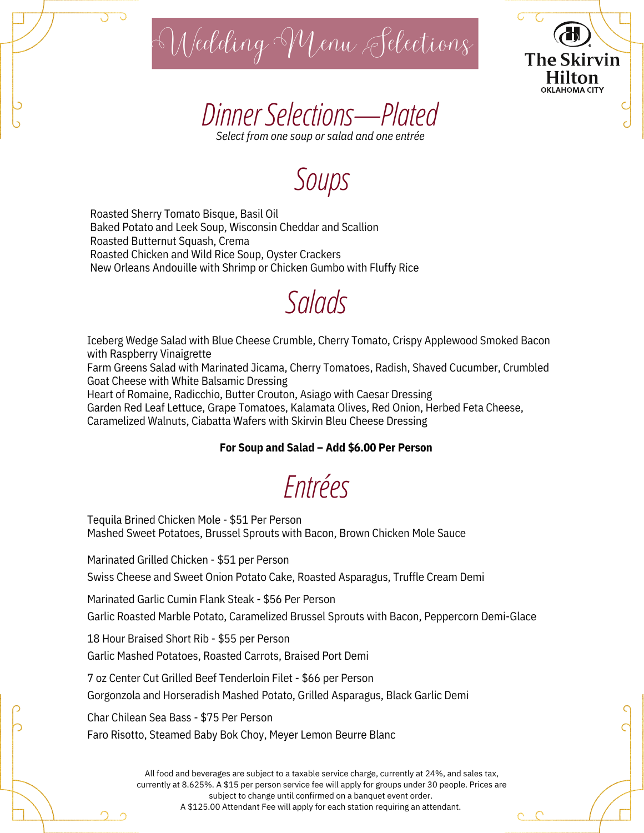



*DinnerSelections—Plated Select from one soup or salad and one entrée*

# *Soups*

Roasted Sherry Tomato Bisque, Basil Oil Baked Potato and Leek Soup, Wisconsin Cheddar and Scallion Roasted Butternut Squash, Crema Roasted Chicken and Wild Rice Soup, Oyster Crackers New Orleans Andouille with Shrimp or Chicken Gumbo with Fluffy Rice

## *Salads*

Iceberg Wedge Salad with Blue Cheese Crumble, Cherry Tomato, Crispy Applewood Smoked Bacon with Raspberry Vinaigrette

Farm Greens Salad with Marinated Jicama, Cherry Tomatoes, Radish, Shaved Cucumber, Crumbled Goat Cheese with White Balsamic Dressing

Heart of Romaine, Radicchio, Butter Crouton, Asiago with Caesar Dressing

Garden Red Leaf Lettuce, Grape Tomatoes, Kalamata Olives, Red Onion, Herbed Feta Cheese, Caramelized Walnuts, Ciabatta Wafers with Skirvin Bleu Cheese Dressing

### **For Soup and Salad – Add \$6.00 Per Person**

# *Entrées*

Tequila Brined Chicken Mole - \$51 Per Person Mashed Sweet Potatoes, Brussel Sprouts with Bacon, Brown Chicken Mole Sauce

Marinated Grilled Chicken - \$51 per Person

Swiss Cheese and Sweet Onion Potato Cake, Roasted Asparagus, Truffle Cream Demi

Marinated Garlic Cumin Flank Steak - \$56 Per Person

Garlic Roasted Marble Potato, Caramelized Brussel Sprouts with Bacon, Peppercorn Demi-Glace

18 Hour Braised Short Rib - \$55 per Person

Garlic Mashed Potatoes, Roasted Carrots, Braised Port Demi

7 oz Center Cut Grilled Beef Tenderloin Filet - \$66 per Person

Gorgonzola and Horseradish Mashed Potato, Grilled Asparagus, Black Garlic Demi

Char Chilean Sea Bass - \$75 Per Person

Faro Risotto, Steamed Baby Bok Choy, Meyer Lemon Beurre Blanc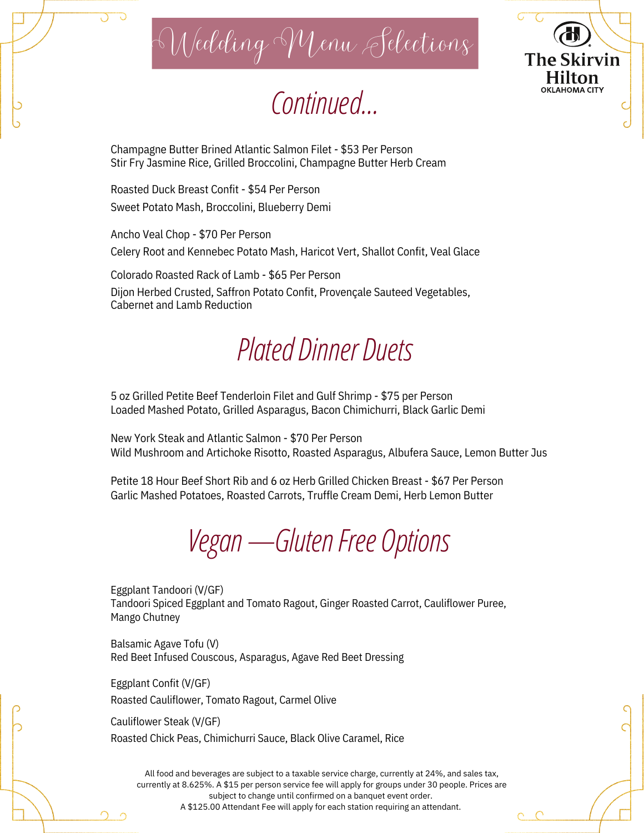WeddingMenu Selections

# *Continued…*

**The Skirvin** Hilton **OKLAHOMA CITY** 

Champagne Butter Brined Atlantic Salmon Filet - \$53 Per Person Stir Fry Jasmine Rice, Grilled Broccolini, Champagne Butter Herb Cream

Roasted Duck Breast Confit - \$54 Per Person Sweet Potato Mash, Broccolini, Blueberry Demi

Ancho Veal Chop - \$70 Per Person Celery Root and Kennebec Potato Mash, Haricot Vert, Shallot Confit, Veal Glace

Colorado Roasted Rack of Lamb - \$65 Per Person

Dijon Herbed Crusted, Saffron Potato Confit, Provençale Sauteed Vegetables, Cabernet and Lamb Reduction

# *Plated Dinner Duets*

5 oz Grilled Petite Beef Tenderloin Filet and Gulf Shrimp - \$75 per Person Loaded Mashed Potato, Grilled Asparagus, Bacon Chimichurri, Black Garlic Demi

New York Steak and Atlantic Salmon - \$70 Per Person Wild Mushroom and Artichoke Risotto, Roasted Asparagus, Albufera Sauce, Lemon Butter Jus

Petite 18 Hour Beef Short Rib and 6 oz Herb Grilled Chicken Breast - \$67 Per Person Garlic Mashed Potatoes, Roasted Carrots, Truffle Cream Demi, Herb Lemon Butter

*Vegan—GlutenFree Options*

Eggplant Tandoori (V/GF) Tandoori Spiced Eggplant and Tomato Ragout, Ginger Roasted Carrot, Cauliflower Puree, Mango Chutney

Balsamic Agave Tofu (V) Red Beet Infused Couscous, Asparagus, Agave Red Beet Dressing

Eggplant Confit (V/GF) Roasted Cauliflower, Tomato Ragout, Carmel Olive

Cauliflower Steak (V/GF) Roasted Chick Peas, Chimichurri Sauce, Black Olive Caramel, Rice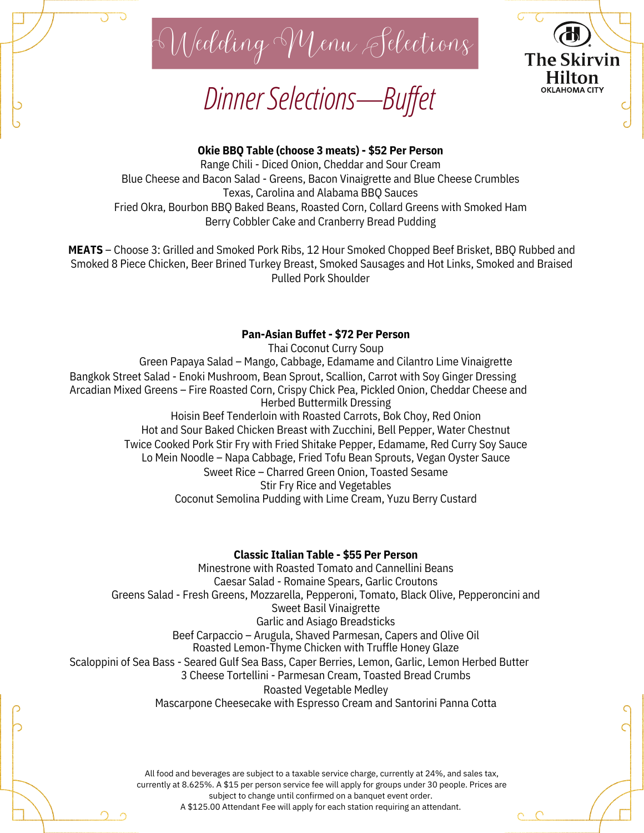

*DinnerSelections—Bufet*



### **Okie BBQ Table (choose 3 meats) - \$52 Per Person**

Range Chili - Diced Onion, Cheddar and Sour Cream Blue Cheese and Bacon Salad - Greens, Bacon Vinaigrette and Blue Cheese Crumbles Texas, Carolina and Alabama BBQ Sauces Fried Okra, Bourbon BBQ Baked Beans, Roasted Corn, Collard Greens with Smoked Ham Berry Cobbler Cake and Cranberry Bread Pudding

**MEATS** – Choose 3: Grilled and Smoked Pork Ribs, 12 Hour Smoked Chopped Beef Brisket, BBQ Rubbed and Smoked 8 Piece Chicken, Beer Brined Turkey Breast, Smoked Sausages and Hot Links, Smoked and Braised Pulled Pork Shoulder

### **Pan-Asian Buffet - \$72 Per Person**

Thai Coconut Curry Soup Green Papaya Salad – Mango, Cabbage, Edamame and Cilantro Lime Vinaigrette Bangkok Street Salad - Enoki Mushroom, Bean Sprout, Scallion, Carrot with Soy Ginger Dressing Arcadian Mixed Greens – Fire Roasted Corn, Crispy Chick Pea, Pickled Onion, Cheddar Cheese and Herbed Buttermilk Dressing Hoisin Beef Tenderloin with Roasted Carrots, Bok Choy, Red Onion Hot and Sour Baked Chicken Breast with Zucchini, Bell Pepper, Water Chestnut Twice Cooked Pork Stir Fry with Fried Shitake Pepper, Edamame, Red Curry Soy Sauce Lo Mein Noodle – Napa Cabbage, Fried Tofu Bean Sprouts, Vegan Oyster Sauce Sweet Rice – Charred Green Onion, Toasted Sesame Stir Fry Rice and Vegetables Coconut Semolina Pudding with Lime Cream, Yuzu Berry Custard

### **Classic Italian Table - \$55 Per Person**

Minestrone with Roasted Tomato and Cannellini Beans Caesar Salad - Romaine Spears, Garlic Croutons Greens Salad - Fresh Greens, Mozzarella, Pepperoni, Tomato, Black Olive, Pepperoncini and Sweet Basil Vinaigrette Garlic and Asiago Breadsticks Beef Carpaccio – Arugula, Shaved Parmesan, Capers and Olive Oil Roasted Lemon-Thyme Chicken with Truffle Honey Glaze Scaloppini of Sea Bass - Seared Gulf Sea Bass, Caper Berries, Lemon, Garlic, Lemon Herbed Butter 3 Cheese Tortellini - Parmesan Cream, Toasted Bread Crumbs Roasted Vegetable Medley Mascarpone Cheesecake with Espresso Cream and Santorini Panna Cotta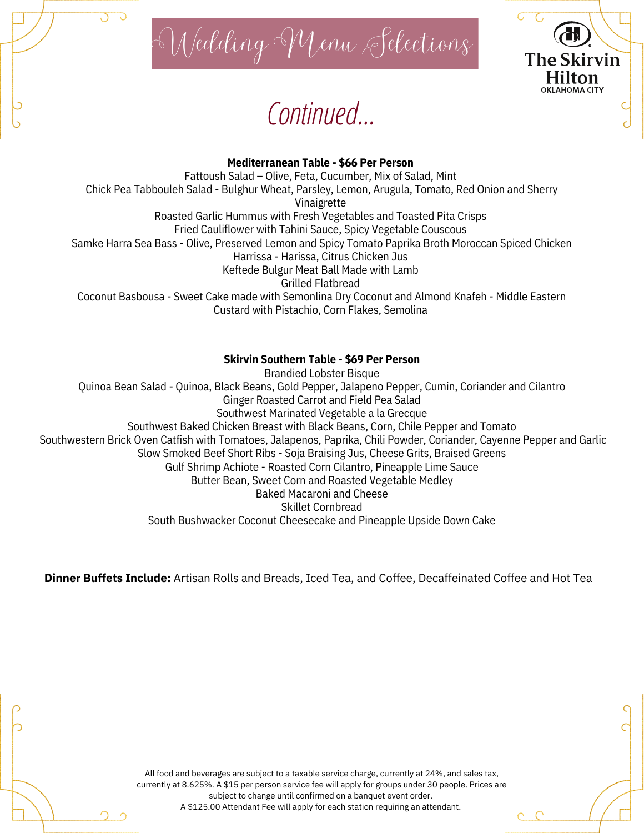

# *Continued…*

# **The Skirvin** Hilton **OKLAHOMA CITY**

### **Mediterranean Table - \$66 Per Person**

Fattoush Salad – Olive, Feta, Cucumber, Mix of Salad, Mint Chick Pea Tabbouleh Salad - Bulghur Wheat, Parsley, Lemon, Arugula, Tomato, Red Onion and Sherry Vinaigrette Roasted Garlic Hummus with Fresh Vegetables and Toasted Pita Crisps Fried Cauliflower with Tahini Sauce, Spicy Vegetable Couscous Samke Harra Sea Bass - Olive, Preserved Lemon and Spicy Tomato Paprika Broth Moroccan Spiced Chicken Harrissa - Harissa, Citrus Chicken Jus Keftede Bulgur Meat Ball Made with Lamb Grilled Flatbread Coconut Basbousa - Sweet Cake made with Semonlina Dry Coconut and Almond Knafeh - Middle Eastern Custard with Pistachio, Corn Flakes, Semolina

### **Skirvin Southern Table - \$69 Per Person**

Brandied Lobster Bisque Quinoa Bean Salad - Quinoa, Black Beans, Gold Pepper, Jalapeno Pepper, Cumin, Coriander and Cilantro Ginger Roasted Carrot and Field Pea Salad Southwest Marinated Vegetable a la Grecque Southwest Baked Chicken Breast with Black Beans, Corn, Chile Pepper and Tomato Southwestern Brick Oven Catfish with Tomatoes, Jalapenos, Paprika, Chili Powder, Coriander, Cayenne Pepper and Garlic Slow Smoked Beef Short Ribs - Soja Braising Jus, Cheese Grits, Braised Greens Gulf Shrimp Achiote - Roasted Corn Cilantro, Pineapple Lime Sauce Butter Bean, Sweet Corn and Roasted Vegetable Medley Baked Macaroni and Cheese Skillet Cornbread South Bushwacker Coconut Cheesecake and Pineapple Upside Down Cake

**Dinner Buffets Include:** Artisan Rolls and Breads, Iced Tea, and Coffee, Decaffeinated Coffee and Hot Tea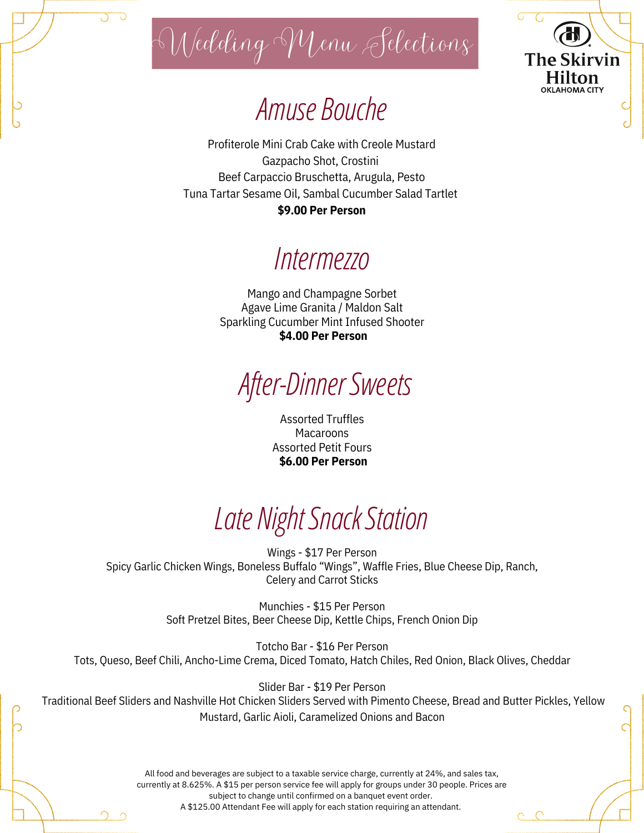

WeddingMenu Selections

The Skirvin Hilton **OKLAHOMA CITY** 

# Amuse Bouche

Profiterole Mini Crab Cake with Creole Mustard Gazpacho Shot, Crostini Beef Carpaccio Bruschetta, Arugula, Pesto Tuna Tartar Sesame Oil, Sambal Cucumber Salad Tartlet **\$9.00 Per Person**

## *Intermezzo*

Mango and Champagne Sorbet Agave Lime Granita / Maldon Salt Sparkling Cucumber Mint Infused Shooter **\$4.00 Per Person**

# *After-DinnerSweets*

Assorted Truffles Macaroons Assorted Petit Fours **\$6.00 Per Person**

# *Late NightSnackStation*

Wings - \$17 Per Person Spicy Garlic Chicken Wings, Boneless Buffalo "Wings", Waffle Fries, Blue Cheese Dip, Ranch, Celery and Carrot Sticks

> Munchies - \$15 Per Person Soft Pretzel Bites, Beer Cheese Dip, Kettle Chips, French Onion Dip

Totcho Bar - \$16 Per Person Tots, Queso, Beef Chili, Ancho-Lime Crema, Diced Tomato, Hatch Chiles, Red Onion, Black Olives, Cheddar

Slider Bar - \$19 Per Person Traditional Beef Sliders and Nashville Hot Chicken Sliders Served with Pimento Cheese, Bread and Butter Pickles, Yellow Mustard, Garlic Aioli, Caramelized Onions and Bacon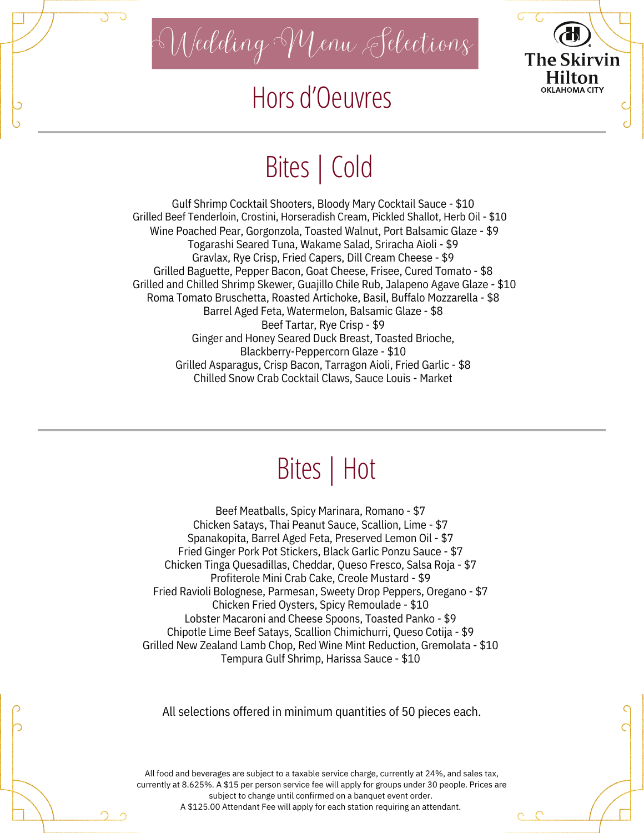

WeddingMenu Selections

# Hors d'Oeuvres



# Bites| Cold

Gulf Shrimp Cocktail Shooters, Bloody Mary Cocktail Sauce - \$10 Grilled Beef Tenderloin, Crostini, Horseradish Cream, Pickled Shallot, Herb Oil - \$10 Wine Poached Pear, Gorgonzola, Toasted Walnut, Port Balsamic Glaze - \$9 Togarashi Seared Tuna, Wakame Salad, Sriracha Aioli - \$9 Gravlax, Rye Crisp, Fried Capers, Dill Cream Cheese - \$9 Grilled Baguette, Pepper Bacon, Goat Cheese, Frisee, Cured Tomato - \$8 Grilled and Chilled Shrimp Skewer, Guajillo Chile Rub, Jalapeno Agave Glaze - \$10 Roma Tomato Bruschetta, Roasted Artichoke, Basil, Buffalo Mozzarella - \$8 Barrel Aged Feta, Watermelon, Balsamic Glaze - \$8 Beef Tartar, Rye Crisp - \$9 Ginger and Honey Seared Duck Breast, Toasted Brioche, Blackberry-Peppercorn Glaze - \$10 Grilled Asparagus, Crisp Bacon, Tarragon Aioli, Fried Garlic - \$8 Chilled Snow Crab Cocktail Claws, Sauce Louis - Market

# Bites| Hot

Beef Meatballs, Spicy Marinara, Romano - \$7 Chicken Satays, Thai Peanut Sauce, Scallion, Lime - \$7 Spanakopita, Barrel Aged Feta, Preserved Lemon Oil - \$7 Fried Ginger Pork Pot Stickers, Black Garlic Ponzu Sauce - \$7 Chicken Tinga Quesadillas, Cheddar, Queso Fresco, Salsa Roja - \$7 Profiterole Mini Crab Cake, Creole Mustard - \$9 Fried Ravioli Bolognese, Parmesan, Sweety Drop Peppers, Oregano - \$7 Chicken Fried Oysters, Spicy Remoulade - \$10 Lobster Macaroni and Cheese Spoons, Toasted Panko - \$9 Chipotle Lime Beef Satays, Scallion Chimichurri, Queso Cotija - \$9 Grilled New Zealand Lamb Chop, Red Wine Mint Reduction, Gremolata - \$10 Tempura Gulf Shrimp, Harissa Sauce - \$10

All selections offered in minimum quantities of 50 pieces each.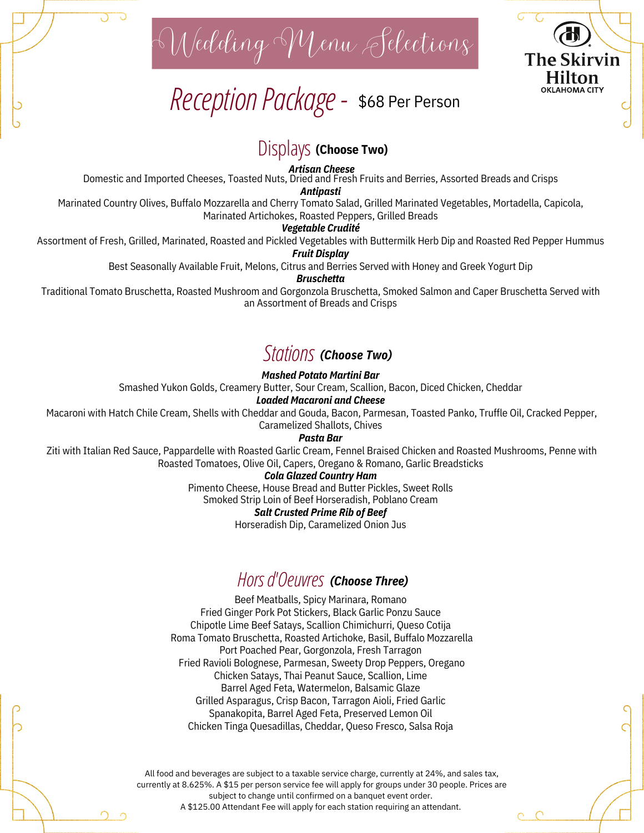WeddingMenu Selections

*ReceptionPackage-* \$68 Per Person



### Displays **(Choose Two)**

*Artisan Cheese*

Domestic and Imported Cheeses, Toasted Nuts, Dried and Fresh Fruits and Berries, Assorted Breads and Crisps

*Antipasti*

Marinated Country Olives, Buffalo Mozzarella and Cherry Tomato Salad, Grilled Marinated Vegetables, Mortadella, Capicola, Marinated Artichokes, Roasted Peppers, Grilled Breads

*Vegetable Crudité*

Assortment of Fresh, Grilled, Marinated, Roasted and Pickled Vegetables with Buttermilk Herb Dip and Roasted Red Pepper Hummus

*Fruit Display*

Best Seasonally Available Fruit, Melons, Citrus and Berries Served with Honey and Greek Yogurt Dip

*Bruschetta*

Traditional Tomato Bruschetta, Roasted Mushroom and Gorgonzola Bruschetta, Smoked Salmon and Caper Bruschetta Served with an Assortment of Breads and Crisps

### *Stations (Choose Two)*

### *Mashed Potato Martini Bar*

Smashed Yukon Golds, Creamery Butter, Sour Cream, Scallion, Bacon, Diced Chicken, Cheddar

#### *Loaded Macaroni and Cheese*

Macaroni with Hatch Chile Cream, Shells with Cheddar and Gouda, Bacon, Parmesan, Toasted Panko, Truffle Oil, Cracked Pepper, Caramelized Shallots, Chives

*Pasta Bar*

Ziti with Italian Red Sauce, Pappardelle with Roasted Garlic Cream, Fennel Braised Chicken and Roasted Mushrooms, Penne with Roasted Tomatoes, Olive Oil, Capers, Oregano & Romano, Garlic Breadsticks

*Cola Glazed Country Ham*

Pimento Cheese, House Bread and Butter Pickles, Sweet Rolls

Smoked Strip Loin of Beef Horseradish, Poblano Cream

*Salt Crusted Prime Rib of Beef*

Horseradish Dip, Caramelized Onion Jus

### *Horsd'Oeuvres (Choose Three)*

Beef Meatballs, Spicy Marinara, Romano Fried Ginger Pork Pot Stickers, Black Garlic Ponzu Sauce Chipotle Lime Beef Satays, Scallion Chimichurri, Queso Cotija Roma Tomato Bruschetta, Roasted Artichoke, Basil, Buffalo Mozzarella Port Poached Pear, Gorgonzola, Fresh Tarragon Fried Ravioli Bolognese, Parmesan, Sweety Drop Peppers, Oregano Chicken Satays, Thai Peanut Sauce, Scallion, Lime Barrel Aged Feta, Watermelon, Balsamic Glaze Grilled Asparagus, Crisp Bacon, Tarragon Aioli, Fried Garlic Spanakopita, Barrel Aged Feta, Preserved Lemon Oil Chicken Tinga Quesadillas, Cheddar, Queso Fresco, Salsa Roja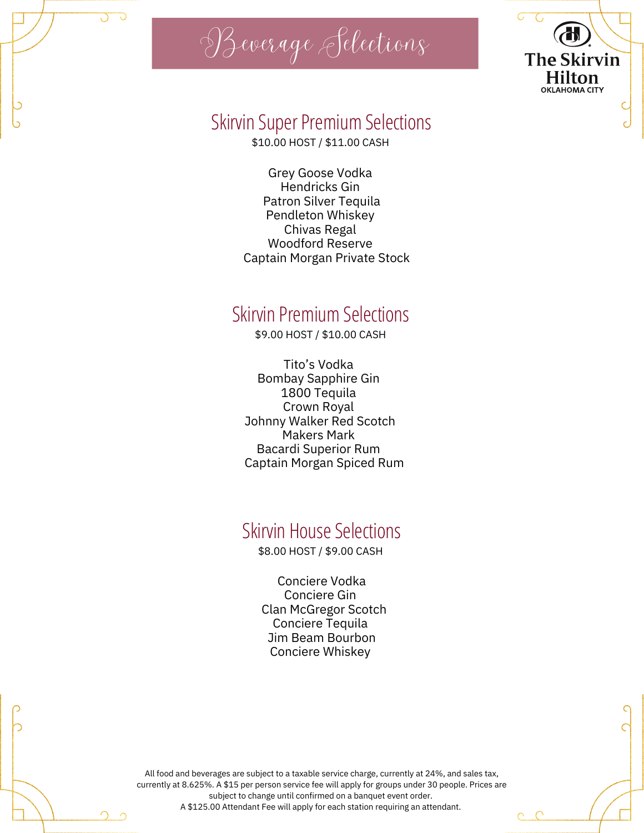

## Skirvin Super Premium Selections

**The Skirvin Hilton OKLAHOMA CITY** 

\$10.00 HOST / \$11.00 CASH

Grey Goose Vodka Hendricks Gin Patron Silver Tequila Pendleton Whiskey Chivas Regal Woodford Reserve Captain Morgan Private Stock

## Skirvin Premium Selections

\$9.00 HOST / \$10.00 CASH

Tito's Vodka Bombay Sapphire Gin 1800 Tequila Crown Royal Johnny Walker Red Scotch Makers Mark Bacardi Superior Rum Captain Morgan Spiced Rum

## Skirvin House Selections

\$8.00 HOST / \$9.00 CASH

Conciere Vodka Conciere Gin Clan McGregor Scotch Conciere Tequila Jim Beam Bourbon Conciere Whiskey